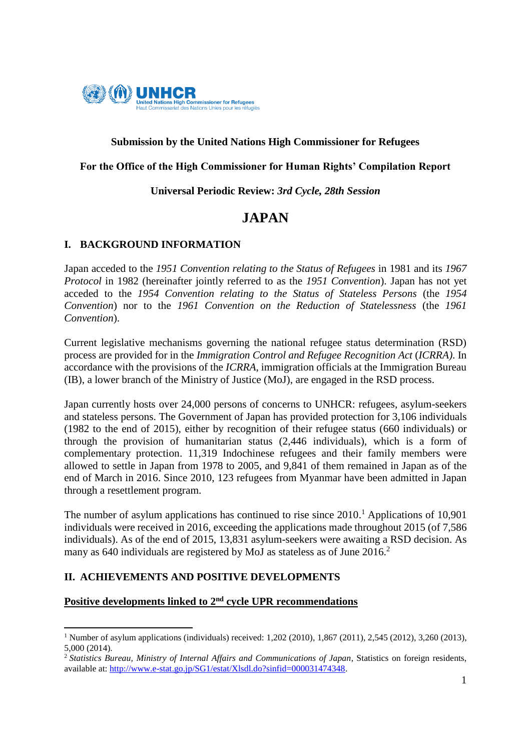

# **Submission by the United Nations High Commissioner for Refugees**

## **For the Office of the High Commissioner for Human Rights' Compilation Report**

## **Universal Periodic Review:** *3rd Cycle, 28th Session*

# **JAPAN**

# **I. BACKGROUND INFORMATION**

Japan acceded to the *1951 Convention relating to the Status of Refugees* in 1981 and its *1967 Protocol* in 1982 (hereinafter jointly referred to as the *1951 Convention*). Japan has not yet acceded to the *1954 Convention relating to the Status of Stateless Persons* (the *1954 Convention*) nor to the *1961 Convention on the Reduction of Statelessness* (the *1961 Convention*).

Current legislative mechanisms governing the national refugee status determination (RSD) process are provided for in the *Immigration Control and Refugee Recognition Act* (*ICRRA)*. In accordance with the provisions of the *ICRRA*, immigration officials at the Immigration Bureau (IB), a lower branch of the Ministry of Justice (MoJ), are engaged in the RSD process.

Japan currently hosts over 24,000 persons of concerns to UNHCR: refugees, asylum-seekers and stateless persons. The Government of Japan has provided protection for 3,106 individuals (1982 to the end of 2015), either by recognition of their refugee status (660 individuals) or through the provision of humanitarian status (2,446 individuals), which is a form of complementary protection. 11,319 Indochinese refugees and their family members were allowed to settle in Japan from 1978 to 2005, and 9,841 of them remained in Japan as of the end of March in 2016. Since 2010, 123 refugees from Myanmar have been admitted in Japan through a resettlement program.

The number of asylum applications has continued to rise since 2010.<sup>1</sup> Applications of 10,901 individuals were received in 2016, exceeding the applications made throughout 2015 (of 7,586 individuals). As of the end of 2015, 13,831 asylum-seekers were awaiting a RSD decision. As many as 640 individuals are registered by MoJ as stateless as of June 2016.<sup>2</sup>

# **II. ACHIEVEMENTS AND POSITIVE DEVELOPMENTS**

**.** 

# **Positive developments linked to 2nd cycle UPR recommendations**

<sup>&</sup>lt;sup>1</sup> Number of asylum applications (individuals) received: 1,202 (2010), 1,867 (2011), 2,545 (2012), 3,260 (2013), 5,000 (2014).

<sup>&</sup>lt;sup>2</sup> Statistics Bureau, Ministry of Internal Affairs and Communications of Japan, Statistics on foreign residents, available at: [http://www.e-stat.go.jp/SG1/estat/Xlsdl.do?sinfid=000031474348.](http://www.e-stat.go.jp/SG1/estat/Xlsdl.do?sinfid=000031474348)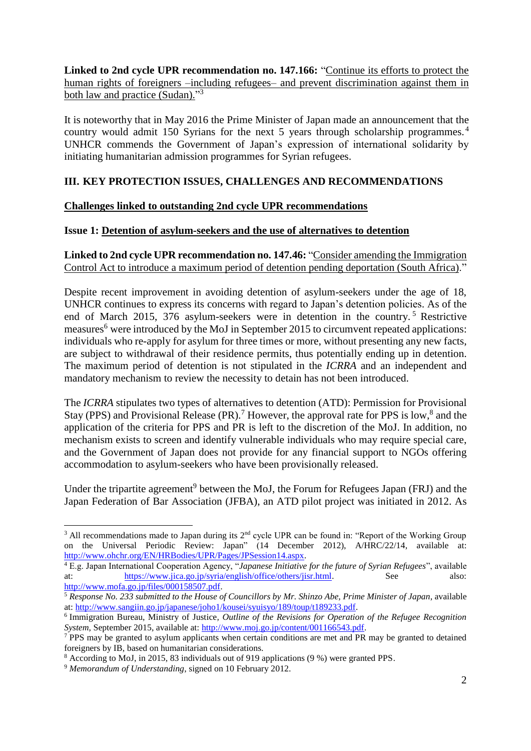**Linked to 2nd cycle UPR recommendation no. 147.166:** "Continue its efforts to protect the human rights of foreigners –including refugees– and prevent discrimination against them in both law and practice (Sudan)."<sup>3</sup>

It is noteworthy that in May 2016 the Prime Minister of Japan made an announcement that the country would admit 150 Syrians for the next 5 years through scholarship programmes.<sup>4</sup> UNHCR commends the Government of Japan's expression of international solidarity by initiating humanitarian admission programmes for Syrian refugees.

# **III. KEY PROTECTION ISSUES, CHALLENGES AND RECOMMENDATIONS**

# **Challenges linked to outstanding 2nd cycle UPR recommendations**

## **Issue 1: Detention of asylum-seekers and the use of alternatives to detention**

**Linked to 2nd cycle UPR recommendation no. 147.46:** "Consider amending the Immigration Control Act to introduce a maximum period of detention pending deportation (South Africa)."

Despite recent improvement in avoiding detention of asylum-seekers under the age of 18, UNHCR continues to express its concerns with regard to Japan's detention policies. As of the end of March 2015, 376 asylum-seekers were in detention in the country. <sup>5</sup> Restrictive measures<sup>6</sup> were introduced by the MoJ in September 2015 to circumvent repeated applications: individuals who re-apply for asylum for three times or more, without presenting any new facts, are subject to withdrawal of their residence permits, thus potentially ending up in detention. The maximum period of detention is not stipulated in the *ICRRA* and an independent and mandatory mechanism to review the necessity to detain has not been introduced.

The *ICRRA* stipulates two types of alternatives to detention (ATD): Permission for Provisional Stay (PPS) and Provisional Release (PR).<sup>7</sup> However, the approval rate for PPS is low,<sup>8</sup> and the application of the criteria for PPS and PR is left to the discretion of the MoJ. In addition, no mechanism exists to screen and identify vulnerable individuals who may require special care, and the Government of Japan does not provide for any financial support to NGOs offering accommodation to asylum-seekers who have been provisionally released.

Under the tripartite agreement<sup>9</sup> between the MoJ, the Forum for Refugees Japan (FRJ) and the Japan Federation of Bar Association (JFBA), an ATD pilot project was initiated in 2012. As

**.** 

<sup>&</sup>lt;sup>3</sup> All recommendations made to Japan during its  $2<sup>nd</sup>$  cycle UPR can be found in: "Report of the Working Group on the Universal Periodic Review: Japan" (14 December 2012), A/HRC/22/14, available at: [http://www.ohchr.org/EN/HRBodies/UPR/Pages/JPSession14.aspx.](http://www.ohchr.org/EN/HRBodies/UPR/Pages/JPSession14.aspx)

<sup>4</sup> E.g. Japan International Cooperation Agency, "*Japanese Initiative for the future of Syrian Refugees*", available at: [https://www.jica.go.jp/syria/english/office/others/jisr.html.](https://www.jica.go.jp/syria/english/office/others/jisr.html) See also: [http://www.mofa.go.jp/files/000158507.pdf.](http://www.mofa.go.jp/files/000158507.pdf)

<sup>5</sup> *Response No. 233 submitted to the House of Councillors by Mr. Shinzo Abe, Prime Minister of Japan*, available at: [http://www.sangiin.go.jp/japanese/joho1/kousei/syuisyo/189/toup/t189233.pdf.](http://www.sangiin.go.jp/japanese/joho1/kousei/syuisyo/189/toup/t189233.pdf)

<sup>6</sup> Immigration Bureau, Ministry of Justice*, Outline of the Revisions for Operation of the Refugee Recognition System*, September 2015, available at: [http://www.moj.go.jp/content/001166543.pdf.](http://www.moj.go.jp/content/001166543.pdf)

<sup>7</sup> PPS may be granted to asylum applicants when certain conditions are met and PR may be granted to detained foreigners by IB, based on humanitarian considerations.

<sup>8</sup> According to MoJ, in 2015, 83 individuals out of 919 applications (9 %) were granted PPS.

<sup>9</sup> *Memorandum of Understanding*, signed on 10 February 2012.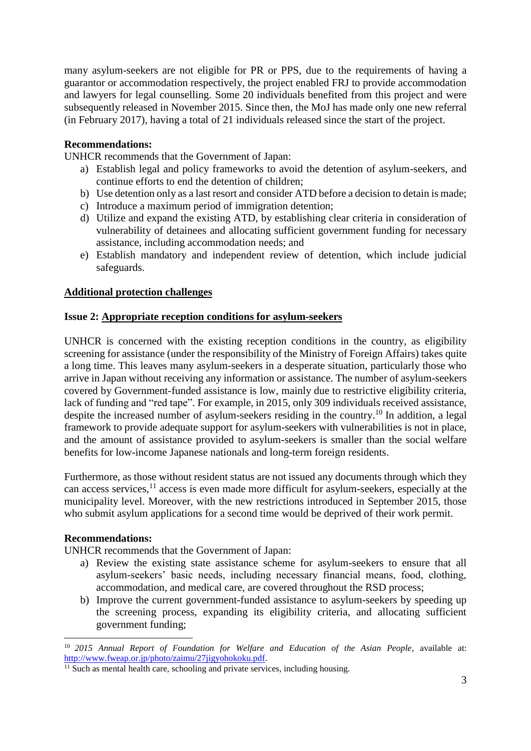many asylum-seekers are not eligible for PR or PPS, due to the requirements of having a guarantor or accommodation respectively, the project enabled FRJ to provide accommodation and lawyers for legal counselling. Some 20 individuals benefited from this project and were subsequently released in November 2015. Since then, the MoJ has made only one new referral (in February 2017), having a total of 21 individuals released since the start of the project.

## **Recommendations:**

UNHCR recommends that the Government of Japan:

- a) Establish legal and policy frameworks to avoid the detention of asylum-seekers, and continue efforts to end the detention of children;
- b) Use detention only as a last resort and consider ATD before a decision to detain is made;
- c) Introduce a maximum period of immigration detention;
- d) Utilize and expand the existing ATD, by establishing clear criteria in consideration of vulnerability of detainees and allocating sufficient government funding for necessary assistance, including accommodation needs; and
- e) Establish mandatory and independent review of detention, which include judicial safeguards.

## **Additional protection challenges**

## **Issue 2: Appropriate reception conditions for asylum-seekers**

UNHCR is concerned with the existing reception conditions in the country, as eligibility screening for assistance (under the responsibility of the Ministry of Foreign Affairs) takes quite a long time. This leaves many asylum-seekers in a desperate situation, particularly those who arrive in Japan without receiving any information or assistance. The number of asylum-seekers covered by Government-funded assistance is low, mainly due to restrictive eligibility criteria, lack of funding and "red tape". For example, in 2015, only 309 individuals received assistance, despite the increased number of asylum-seekers residing in the country.<sup>10</sup> In addition, a legal framework to provide adequate support for asylum-seekers with vulnerabilities is not in place, and the amount of assistance provided to asylum-seekers is smaller than the social welfare benefits for low-income Japanese nationals and long-term foreign residents.

Furthermore, as those without resident status are not issued any documents through which they can access services,<sup>11</sup> access is even made more difficult for asylum-seekers, especially at the municipality level. Moreover, with the new restrictions introduced in September 2015, those who submit asylum applications for a second time would be deprived of their work permit.

#### **Recommendations:**

 $\overline{a}$ 

UNHCR recommends that the Government of Japan:

- a) Review the existing state assistance scheme for asylum-seekers to ensure that all asylum-seekers' basic needs, including necessary financial means, food, clothing, accommodation, and medical care, are covered throughout the RSD process;
- b) Improve the current government-funded assistance to asylum-seekers by speeding up the screening process, expanding its eligibility criteria, and allocating sufficient government funding;

<sup>&</sup>lt;sup>10</sup> 2015 Annual Report of Foundation for Welfare and Education of the Asian People, available at: [http://www.fweap.or.jp/photo/zaimu/27jigyohokoku.pdf.](http://www.fweap.or.jp/photo/zaimu/27jigyohokoku.pdf)

<sup>&</sup>lt;sup>11</sup> Such as mental health care, schooling and private services, including housing.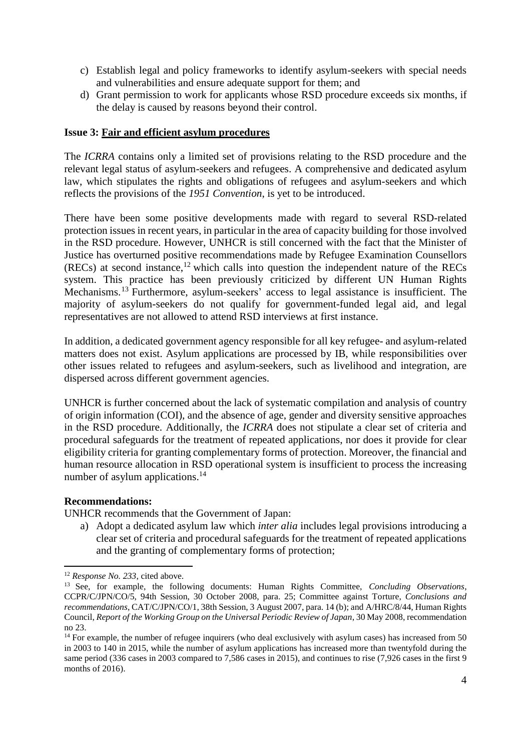- c) Establish legal and policy frameworks to identify asylum-seekers with special needs and vulnerabilities and ensure adequate support for them; and
- d) Grant permission to work for applicants whose RSD procedure exceeds six months, if the delay is caused by reasons beyond their control.

## **Issue 3: Fair and efficient asylum procedures**

The *ICRRA* contains only a limited set of provisions relating to the RSD procedure and the relevant legal status of asylum-seekers and refugees. A comprehensive and dedicated asylum law, which stipulates the rights and obligations of refugees and asylum-seekers and which reflects the provisions of the *1951 Convention*, is yet to be introduced.

There have been some positive developments made with regard to several RSD-related protection issues in recent years, in particular in the area of capacity building for those involved in the RSD procedure. However, UNHCR is still concerned with the fact that the Minister of Justice has overturned positive recommendations made by Refugee Examination Counsellors  $(RECs)$  at second instance,<sup>12</sup> which calls into question the independent nature of the RECs system. This practice has been previously criticized by different UN Human Rights Mechanisms.<sup>13</sup> Furthermore, asylum-seekers' access to legal assistance is insufficient. The majority of asylum-seekers do not qualify for government-funded legal aid, and legal representatives are not allowed to attend RSD interviews at first instance.

In addition, a dedicated government agency responsible for all key refugee- and asylum-related matters does not exist. Asylum applications are processed by IB, while responsibilities over other issues related to refugees and asylum-seekers, such as livelihood and integration, are dispersed across different government agencies.

UNHCR is further concerned about the lack of systematic compilation and analysis of country of origin information (COI), and the absence of age, gender and diversity sensitive approaches in the RSD procedure. Additionally, the *ICRRA* does not stipulate a clear set of criteria and procedural safeguards for the treatment of repeated applications, nor does it provide for clear eligibility criteria for granting complementary forms of protection. Moreover, the financial and human resource allocation in RSD operational system is insufficient to process the increasing number of asylum applications.<sup>14</sup>

#### **Recommendations:**

UNHCR recommends that the Government of Japan:

a) Adopt a dedicated asylum law which *inter alia* includes legal provisions introducing a clear set of criteria and procedural safeguards for the treatment of repeated applications and the granting of complementary forms of protection;

**<sup>.</sup>** <sup>12</sup> *Response No. 233*, cited above.

<sup>13</sup> See, for example, the following documents: Human Rights Committee, *Concluding Observations*, CCPR/C/JPN/CO/5, 94th Session, 30 October 2008, para. 25; Committee against Torture, *Conclusions and recommendations*, CAT/C/JPN/CO/1, 38th Session, 3 August 2007, para. 14 (b); and A/HRC/8/44, Human Rights Council, *Report of the Working Group on the Universal Periodic Review of Japan*, 30 May 2008, recommendation no 23.

<sup>&</sup>lt;sup>14</sup> For example, the number of refugee inquirers (who deal exclusively with asylum cases) has increased from 50 in 2003 to 140 in 2015, while the number of asylum applications has increased more than twentyfold during the same period (336 cases in 2003 compared to 7,586 cases in 2015), and continues to rise (7,926 cases in the first 9 months of 2016).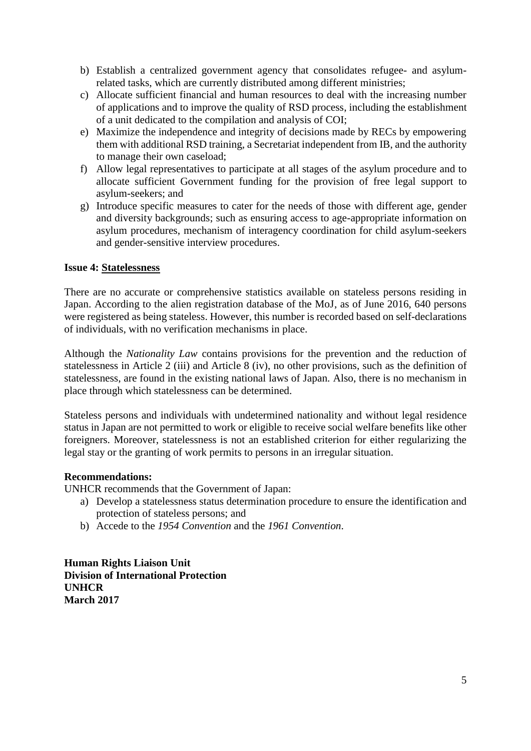- b) Establish a centralized government agency that consolidates refugee- and asylumrelated tasks, which are currently distributed among different ministries;
- c) Allocate sufficient financial and human resources to deal with the increasing number of applications and to improve the quality of RSD process, including the establishment of a unit dedicated to the compilation and analysis of COI;
- e) Maximize the independence and integrity of decisions made by RECs by empowering them with additional RSD training, a Secretariat independent from IB, and the authority to manage their own caseload;
- f) Allow legal representatives to participate at all stages of the asylum procedure and to allocate sufficient Government funding for the provision of free legal support to asylum-seekers; and
- g) Introduce specific measures to cater for the needs of those with different age, gender and diversity backgrounds; such as ensuring access to age-appropriate information on asylum procedures, mechanism of interagency coordination for child asylum-seekers and gender-sensitive interview procedures.

## **Issue 4: Statelessness**

There are no accurate or comprehensive statistics available on stateless persons residing in Japan. According to the alien registration database of the MoJ, as of June 2016, 640 persons were registered as being stateless. However, this number is recorded based on self-declarations of individuals, with no verification mechanisms in place.

Although the *Nationality Law* contains provisions for the prevention and the reduction of statelessness in Article 2 (iii) and Article 8 (iv), no other provisions, such as the definition of statelessness, are found in the existing national laws of Japan. Also, there is no mechanism in place through which statelessness can be determined.

Stateless persons and individuals with undetermined nationality and without legal residence status in Japan are not permitted to work or eligible to receive social welfare benefits like other foreigners. Moreover, statelessness is not an established criterion for either regularizing the legal stay or the granting of work permits to persons in an irregular situation.

#### **Recommendations:**

UNHCR recommends that the Government of Japan:

- a) Develop a statelessness status determination procedure to ensure the identification and protection of stateless persons; and
- b) Accede to the *1954 Convention* and the *1961 Convention*.

**Human Rights Liaison Unit Division of International Protection UNHCR March 2017**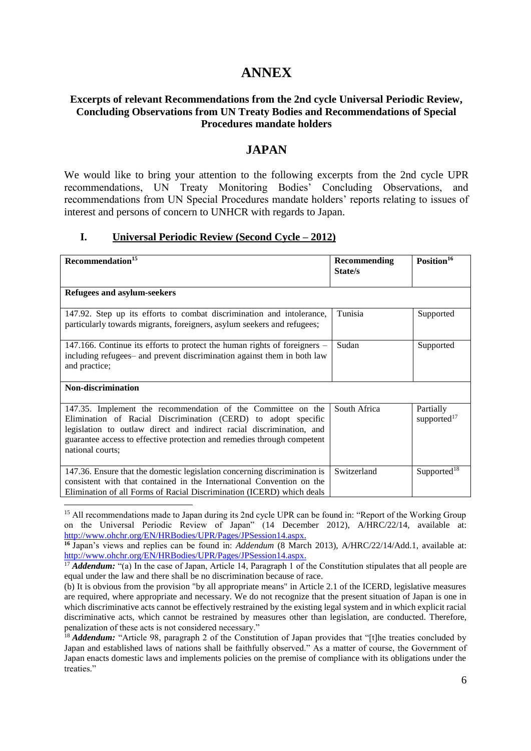# **ANNEX**

## **Excerpts of relevant Recommendations from the 2nd cycle Universal Periodic Review, Concluding Observations from UN Treaty Bodies and Recommendations of Special Procedures mandate holders**

## **JAPAN**

We would like to bring your attention to the following excerpts from the 2nd cycle UPR recommendations, UN Treaty Monitoring Bodies' Concluding Observations, and recommendations from UN Special Procedures mandate holders' reports relating to issues of interest and persons of concern to UNHCR with regards to Japan.

#### **I. Universal Periodic Review (Second Cycle – 2012)**

| Recommendation <sup>15</sup>                                                                                                                                                                                                                                                                         | Recommending<br>State/s | Position <sup>16</sup>               |  |
|------------------------------------------------------------------------------------------------------------------------------------------------------------------------------------------------------------------------------------------------------------------------------------------------------|-------------------------|--------------------------------------|--|
| <b>Refugees and asylum-seekers</b>                                                                                                                                                                                                                                                                   |                         |                                      |  |
| 147.92. Step up its efforts to combat discrimination and intolerance,<br>particularly towards migrants, foreigners, asylum seekers and refugees;                                                                                                                                                     | Tunisia                 | Supported                            |  |
| 147.166. Continue its efforts to protect the human rights of foreigners -<br>including refugees- and prevent discrimination against them in both law<br>and practice;                                                                                                                                | Sudan                   | Supported                            |  |
| <b>Non-discrimination</b>                                                                                                                                                                                                                                                                            |                         |                                      |  |
| 147.35. Implement the recommendation of the Committee on the<br>Elimination of Racial Discrimination (CERD) to adopt specific<br>legislation to outlaw direct and indirect racial discrimination, and<br>guarantee access to effective protection and remedies through competent<br>national courts; | South Africa            | Partially<br>supported <sup>17</sup> |  |
| 147.36. Ensure that the domestic legislation concerning discrimination is<br>consistent with that contained in the International Convention on the<br>Elimination of all Forms of Racial Discrimination (ICERD) which deals                                                                          | Switzerland             | Supported <sup>18</sup>              |  |

 $\overline{a}$ <sup>15</sup> All recommendations made to Japan during its 2nd cycle UPR can be found in: "Report of the Working Group on the Universal Periodic Review of Japan" (14 December 2012), A/HRC/22/14, available at: [http://www.ohchr.org/EN/HRBodies/UPR/Pages/JPSession14.aspx.](http://www.ohchr.org/EN/HRBodies/UPR/Pages/JPSession14.aspx)

**<sup>16</sup>** Japan's views and replies can be found in: *Addendum* (8 March 2013), A/HRC/22/14/Add.1, available at: [http://www.ohchr.org/EN/HRBodies/UPR/Pages/JPSession14.aspx.](http://www.ohchr.org/EN/HRBodies/UPR/Pages/JPSession14.aspx)

<sup>17</sup> **Addendum:** "(a) In the case of Japan, Article 14, Paragraph 1 of the Constitution stipulates that all people are equal under the law and there shall be no discrimination because of race.

<sup>18</sup> *Addendum:* "Article 98, paragraph 2 of the Constitution of Japan provides that "[t]he treaties concluded by Japan and established laws of nations shall be faithfully observed." As a matter of course, the Government of Japan enacts domestic laws and implements policies on the premise of compliance with its obligations under the treaties."

<sup>(</sup>b) It is obvious from the provision "by all appropriate means" in Article 2.1 of the ICERD, legislative measures are required, where appropriate and necessary. We do not recognize that the present situation of Japan is one in which discriminative acts cannot be effectively restrained by the existing legal system and in which explicit racial discriminative acts, which cannot be restrained by measures other than legislation, are conducted. Therefore, penalization of these acts is not considered necessary."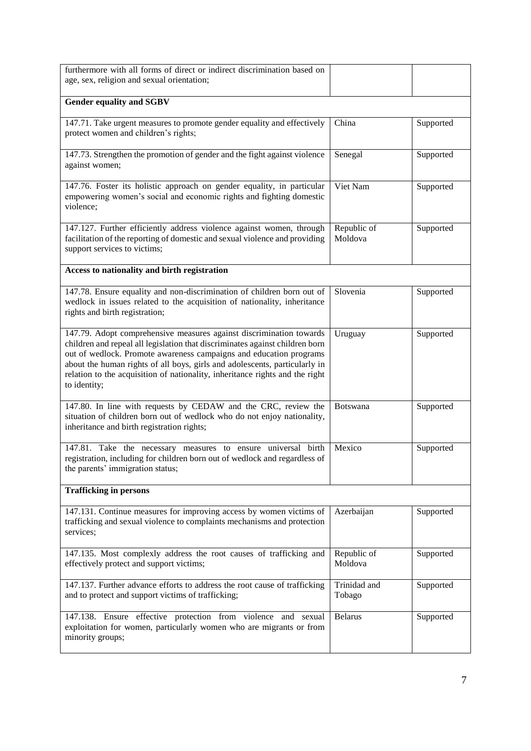| furthermore with all forms of direct or indirect discrimination based on<br>age, sex, religion and sexual orientation;                                                                                                                                                                                                                                                                                  |                        |           |  |
|---------------------------------------------------------------------------------------------------------------------------------------------------------------------------------------------------------------------------------------------------------------------------------------------------------------------------------------------------------------------------------------------------------|------------------------|-----------|--|
| <b>Gender equality and SGBV</b>                                                                                                                                                                                                                                                                                                                                                                         |                        |           |  |
| 147.71. Take urgent measures to promote gender equality and effectively<br>protect women and children's rights;                                                                                                                                                                                                                                                                                         | China                  | Supported |  |
| 147.73. Strengthen the promotion of gender and the fight against violence<br>against women;                                                                                                                                                                                                                                                                                                             | Senegal                | Supported |  |
| 147.76. Foster its holistic approach on gender equality, in particular<br>empowering women's social and economic rights and fighting domestic<br>violence;                                                                                                                                                                                                                                              | Viet Nam               | Supported |  |
| 147.127. Further efficiently address violence against women, through<br>facilitation of the reporting of domestic and sexual violence and providing<br>support services to victims;                                                                                                                                                                                                                     | Republic of<br>Moldova | Supported |  |
| Access to nationality and birth registration                                                                                                                                                                                                                                                                                                                                                            |                        |           |  |
| 147.78. Ensure equality and non-discrimination of children born out of<br>wedlock in issues related to the acquisition of nationality, inheritance<br>rights and birth registration;                                                                                                                                                                                                                    | Slovenia               | Supported |  |
| 147.79. Adopt comprehensive measures against discrimination towards<br>children and repeal all legislation that discriminates against children born<br>out of wedlock. Promote awareness campaigns and education programs<br>about the human rights of all boys, girls and adolescents, particularly in<br>relation to the acquisition of nationality, inheritance rights and the right<br>to identity; | Uruguay                | Supported |  |
| 147.80. In line with requests by CEDAW and the CRC, review the<br>situation of children born out of wedlock who do not enjoy nationality,<br>inheritance and birth registration rights;                                                                                                                                                                                                                 | Botswana               | Supported |  |
| 147.81. Take the necessary measures to ensure universal birth<br>registration, including for children born out of wedlock and regardless of<br>the parents' immigration status;                                                                                                                                                                                                                         | Mexico                 | Supported |  |
| <b>Trafficking in persons</b>                                                                                                                                                                                                                                                                                                                                                                           |                        |           |  |
| 147.131. Continue measures for improving access by women victims of<br>trafficking and sexual violence to complaints mechanisms and protection<br>services;                                                                                                                                                                                                                                             | Azerbaijan             | Supported |  |
| 147.135. Most complexly address the root causes of trafficking and<br>effectively protect and support victims;                                                                                                                                                                                                                                                                                          | Republic of<br>Moldova | Supported |  |
| 147.137. Further advance efforts to address the root cause of trafficking<br>and to protect and support victims of trafficking;                                                                                                                                                                                                                                                                         | Trinidad and<br>Tobago | Supported |  |
| 147.138. Ensure effective protection from violence and sexual<br>exploitation for women, particularly women who are migrants or from<br>minority groups;                                                                                                                                                                                                                                                | <b>Belarus</b>         | Supported |  |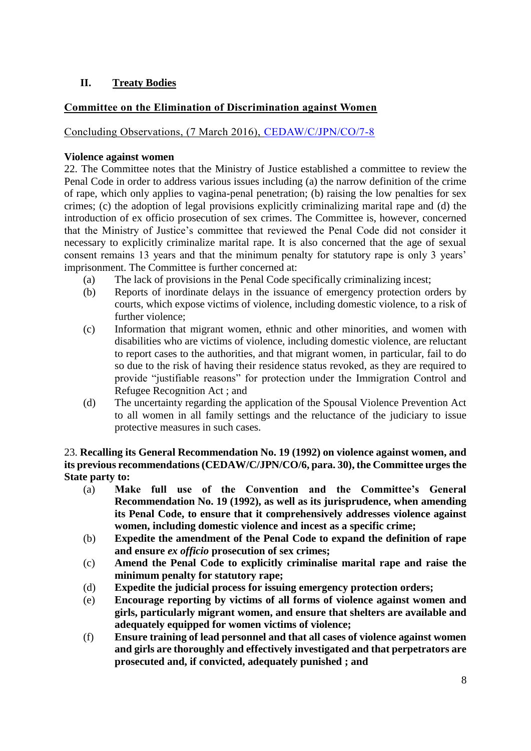# **II. Treaty Bodies**

# **Committee on the Elimination of Discrimination against Women**

Concluding Observations, (7 March 2016), [CEDAW/C/JPN/CO/7-8](http://tbinternet.ohchr.org/_layouts/treatybodyexternal/Download.aspx?symbolno=CEDAW/C/JPN/CO/7-8&Lang=En)

#### **Violence against women**

22. The Committee notes that the Ministry of Justice established a committee to review the Penal Code in order to address various issues including (a) the narrow definition of the crime of rape, which only applies to vagina-penal penetration; (b) raising the low penalties for sex crimes; (c) the adoption of legal provisions explicitly criminalizing marital rape and (d) the introduction of ex officio prosecution of sex crimes. The Committee is, however, concerned that the Ministry of Justice's committee that reviewed the Penal Code did not consider it necessary to explicitly criminalize marital rape. It is also concerned that the age of sexual consent remains 13 years and that the minimum penalty for statutory rape is only 3 years' imprisonment. The Committee is further concerned at:

- (a) The lack of provisions in the Penal Code specifically criminalizing incest;
- (b) Reports of inordinate delays in the issuance of emergency protection orders by courts, which expose victims of violence, including domestic violence, to a risk of further violence;
- (c) Information that migrant women, ethnic and other minorities, and women with disabilities who are victims of violence, including domestic violence, are reluctant to report cases to the authorities, and that migrant women, in particular, fail to do so due to the risk of having their residence status revoked, as they are required to provide "justifiable reasons" for protection under the Immigration Control and Refugee Recognition Act ; and
- (d) The uncertainty regarding the application of the Spousal Violence Prevention Act to all women in all family settings and the reluctance of the judiciary to issue protective measures in such cases.

23. **Recalling its General Recommendation No. 19 (1992) on violence against women, and its previous recommendations (CEDAW/C/JPN/CO/6, para. 30), the Committee urges the State party to:** 

- (a) **Make full use of the Convention and the Committee's General Recommendation No. 19 (1992), as well as its jurisprudence, when amending its Penal Code, to ensure that it comprehensively addresses violence against women, including domestic violence and incest as a specific crime;**
- (b) **Expedite the amendment of the Penal Code to expand the definition of rape and ensure** *ex officio* **prosecution of sex crimes;**
- (c) **Amend the Penal Code to explicitly criminalise marital rape and raise the minimum penalty for statutory rape;**
- (d) **Expedite the judicial process for issuing emergency protection orders;**
- (e) **Encourage reporting by victims of all forms of violence against women and girls, particularly migrant women, and ensure that shelters are available and adequately equipped for women victims of violence;**
- (f) **Ensure training of lead personnel and that all cases of violence against women and girls are thoroughly and effectively investigated and that perpetrators are prosecuted and, if convicted, adequately punished ; and**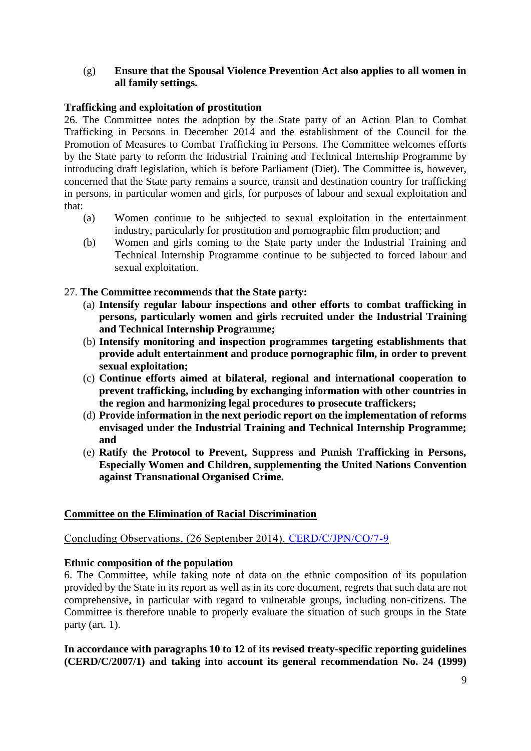## (g) **Ensure that the Spousal Violence Prevention Act also applies to all women in all family settings.**

## **Trafficking and exploitation of prostitution**

26. The Committee notes the adoption by the State party of an Action Plan to Combat Trafficking in Persons in December 2014 and the establishment of the Council for the Promotion of Measures to Combat Trafficking in Persons. The Committee welcomes efforts by the State party to reform the Industrial Training and Technical Internship Programme by introducing draft legislation, which is before Parliament (Diet). The Committee is, however, concerned that the State party remains a source, transit and destination country for trafficking in persons, in particular women and girls, for purposes of labour and sexual exploitation and that:

- (a) Women continue to be subjected to sexual exploitation in the entertainment industry, particularly for prostitution and pornographic film production; and
- (b) Women and girls coming to the State party under the Industrial Training and Technical Internship Programme continue to be subjected to forced labour and sexual exploitation.
- 27. **The Committee recommends that the State party:**
	- (a) **Intensify regular labour inspections and other efforts to combat trafficking in persons, particularly women and girls recruited under the Industrial Training and Technical Internship Programme;**
	- (b) **Intensify monitoring and inspection programmes targeting establishments that provide adult entertainment and produce pornographic film, in order to prevent sexual exploitation;**
	- (c) **Continue efforts aimed at bilateral, regional and international cooperation to prevent trafficking, including by exchanging information with other countries in the region and harmonizing legal procedures to prosecute traffickers;**
	- (d) **Provide information in the next periodic report on the implementation of reforms envisaged under the Industrial Training and Technical Internship Programme; and**
	- (e) **Ratify the Protocol to Prevent, Suppress and Punish Trafficking in Persons, Especially Women and Children, supplementing the United Nations Convention against Transnational Organised Crime.**

#### **Committee on the Elimination of Racial Discrimination**

# Concluding Observations, (26 September 2014), [CERD/C/JPN/CO/7-9](http://tbinternet.ohchr.org/_layouts/treatybodyexternal/Download.aspx?symbolno=CERD/C/JPN/CO/7-9&Lang=En)

#### **Ethnic composition of the population**

6. The Committee, while taking note of data on the ethnic composition of its population provided by the State in its report as well as in its core document, regrets that such data are not comprehensive, in particular with regard to vulnerable groups, including non-citizens. The Committee is therefore unable to properly evaluate the situation of such groups in the State party (art. 1).

**In accordance with paragraphs 10 to 12 of its revised treaty-specific reporting guidelines (CERD/C/2007/1) and taking into account its general recommendation No. 24 (1999)**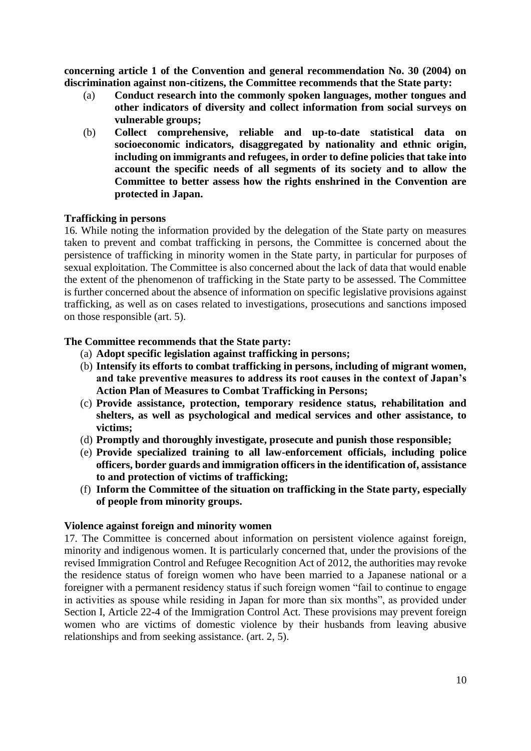**concerning article 1 of the Convention and general recommendation No. 30 (2004) on discrimination against non-citizens, the Committee recommends that the State party:** 

- (a) **Conduct research into the commonly spoken languages, mother tongues and other indicators of diversity and collect information from social surveys on vulnerable groups;**
- (b) **Collect comprehensive, reliable and up-to-date statistical data on socioeconomic indicators, disaggregated by nationality and ethnic origin, including on immigrants and refugees, in order to define policies that take into account the specific needs of all segments of its society and to allow the Committee to better assess how the rights enshrined in the Convention are protected in Japan.**

#### **Trafficking in persons**

16. While noting the information provided by the delegation of the State party on measures taken to prevent and combat trafficking in persons, the Committee is concerned about the persistence of trafficking in minority women in the State party, in particular for purposes of sexual exploitation. The Committee is also concerned about the lack of data that would enable the extent of the phenomenon of trafficking in the State party to be assessed. The Committee is further concerned about the absence of information on specific legislative provisions against trafficking, as well as on cases related to investigations, prosecutions and sanctions imposed on those responsible (art. 5).

## **The Committee recommends that the State party:**

- (a) **Adopt specific legislation against trafficking in persons;**
- (b) **Intensify its efforts to combat trafficking in persons, including of migrant women, and take preventive measures to address its root causes in the context of Japan's Action Plan of Measures to Combat Trafficking in Persons;**
- (c) **Provide assistance, protection, temporary residence status, rehabilitation and shelters, as well as psychological and medical services and other assistance, to victims;**
- (d) **Promptly and thoroughly investigate, prosecute and punish those responsible;**
- (e) **Provide specialized training to all law-enforcement officials, including police officers, border guards and immigration officers in the identification of, assistance to and protection of victims of trafficking;**
- (f) **Inform the Committee of the situation on trafficking in the State party, especially of people from minority groups.**

#### **Violence against foreign and minority women**

17. The Committee is concerned about information on persistent violence against foreign, minority and indigenous women. It is particularly concerned that, under the provisions of the revised Immigration Control and Refugee Recognition Act of 2012, the authorities may revoke the residence status of foreign women who have been married to a Japanese national or a foreigner with a permanent residency status if such foreign women "fail to continue to engage in activities as spouse while residing in Japan for more than six months", as provided under Section I, Article 22-4 of the Immigration Control Act. These provisions may prevent foreign women who are victims of domestic violence by their husbands from leaving abusive relationships and from seeking assistance. (art. 2, 5).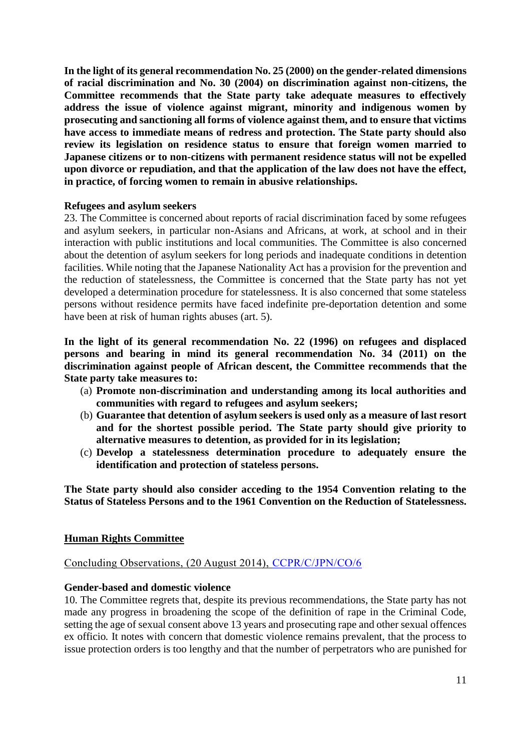**In the light of its general recommendation No. 25 (2000) on the gender-related dimensions of racial discrimination and No. 30 (2004) on discrimination against non-citizens, the Committee recommends that the State party take adequate measures to effectively address the issue of violence against migrant, minority and indigenous women by prosecuting and sanctioning all forms of violence against them, and to ensure that victims have access to immediate means of redress and protection. The State party should also review its legislation on residence status to ensure that foreign women married to Japanese citizens or to non-citizens with permanent residence status will not be expelled upon divorce or repudiation, and that the application of the law does not have the effect, in practice, of forcing women to remain in abusive relationships.**

#### **Refugees and asylum seekers**

23. The Committee is concerned about reports of racial discrimination faced by some refugees and asylum seekers, in particular non-Asians and Africans, at work, at school and in their interaction with public institutions and local communities. The Committee is also concerned about the detention of asylum seekers for long periods and inadequate conditions in detention facilities. While noting that the Japanese Nationality Act has a provision for the prevention and the reduction of statelessness, the Committee is concerned that the State party has not yet developed a determination procedure for statelessness. It is also concerned that some stateless persons without residence permits have faced indefinite pre-deportation detention and some have been at risk of human rights abuses (art. 5).

**In the light of its general recommendation No. 22 (1996) on refugees and displaced persons and bearing in mind its general recommendation No. 34 (2011) on the discrimination against people of African descent, the Committee recommends that the State party take measures to:** 

- (a) **Promote non-discrimination and understanding among its local authorities and communities with regard to refugees and asylum seekers;**
- (b) **Guarantee that detention of asylum seekers is used only as a measure of last resort and for the shortest possible period. The State party should give priority to alternative measures to detention, as provided for in its legislation;**
- (c) **Develop a statelessness determination procedure to adequately ensure the identification and protection of stateless persons.**

**The State party should also consider acceding to the 1954 Convention relating to the Status of Stateless Persons and to the 1961 Convention on the Reduction of Statelessness.**

#### **Human Rights Committee**

# Concluding Observations, (20 August 2014), [CCPR/C/JPN/CO/6](http://tbinternet.ohchr.org/_layouts/treatybodyexternal/Download.aspx?symbolno=CCPR/C/JPN/CO/6&Lang=En)

#### **Gender-based and domestic violence**

10. The Committee regrets that, despite its previous recommendations, the State party has not made any progress in broadening the scope of the definition of rape in the Criminal Code, setting the age of sexual consent above 13 years and prosecuting rape and other sexual offences ex officio*.* It notes with concern that domestic violence remains prevalent, that the process to issue protection orders is too lengthy and that the number of perpetrators who are punished for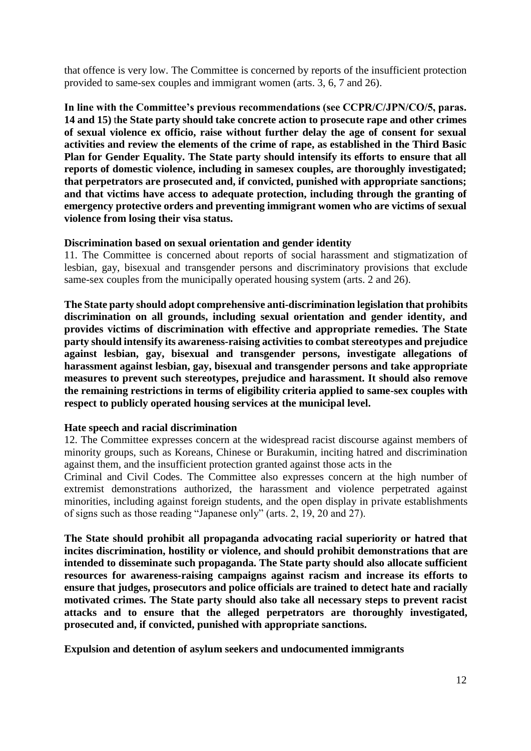that offence is very low. The Committee is concerned by reports of the insufficient protection provided to same-sex couples and immigrant women (arts. 3, 6, 7 and 26).

**In line with the Committee's previous recommendations (see CCPR/C/JPN/CO/5, paras. 14 and 15)** t**he State party should take concrete action to prosecute rape and other crimes of sexual violence ex officio, raise without further delay the age of consent for sexual activities and review the elements of the crime of rape, as established in the Third Basic Plan for Gender Equality. The State party should intensify its efforts to ensure that all reports of domestic violence, including in samesex couples, are thoroughly investigated; that perpetrators are prosecuted and, if convicted, punished with appropriate sanctions; and that victims have access to adequate protection, including through the granting of emergency protective orders and preventing immigrant women who are victims of sexual violence from losing their visa status.**

#### **Discrimination based on sexual orientation and gender identity**

11. The Committee is concerned about reports of social harassment and stigmatization of lesbian, gay, bisexual and transgender persons and discriminatory provisions that exclude same-sex couples from the municipally operated housing system (arts. 2 and 26).

**The State party should adopt comprehensive anti-discrimination legislation that prohibits discrimination on all grounds, including sexual orientation and gender identity, and provides victims of discrimination with effective and appropriate remedies. The State party should intensify its awareness-raising activities to combat stereotypes and prejudice against lesbian, gay, bisexual and transgender persons, investigate allegations of harassment against lesbian, gay, bisexual and transgender persons and take appropriate measures to prevent such stereotypes, prejudice and harassment. It should also remove the remaining restrictions in terms of eligibility criteria applied to same-sex couples with respect to publicly operated housing services at the municipal level.**

#### **Hate speech and racial discrimination**

12. The Committee expresses concern at the widespread racist discourse against members of minority groups, such as Koreans, Chinese or Burakumin, inciting hatred and discrimination against them, and the insufficient protection granted against those acts in the

Criminal and Civil Codes. The Committee also expresses concern at the high number of extremist demonstrations authorized, the harassment and violence perpetrated against minorities, including against foreign students, and the open display in private establishments of signs such as those reading "Japanese only" (arts. 2, 19, 20 and 27).

**The State should prohibit all propaganda advocating racial superiority or hatred that incites discrimination, hostility or violence, and should prohibit demonstrations that are intended to disseminate such propaganda. The State party should also allocate sufficient resources for awareness-raising campaigns against racism and increase its efforts to ensure that judges, prosecutors and police officials are trained to detect hate and racially motivated crimes. The State party should also take all necessary steps to prevent racist attacks and to ensure that the alleged perpetrators are thoroughly investigated, prosecuted and, if convicted, punished with appropriate sanctions.**

**Expulsion and detention of asylum seekers and undocumented immigrants**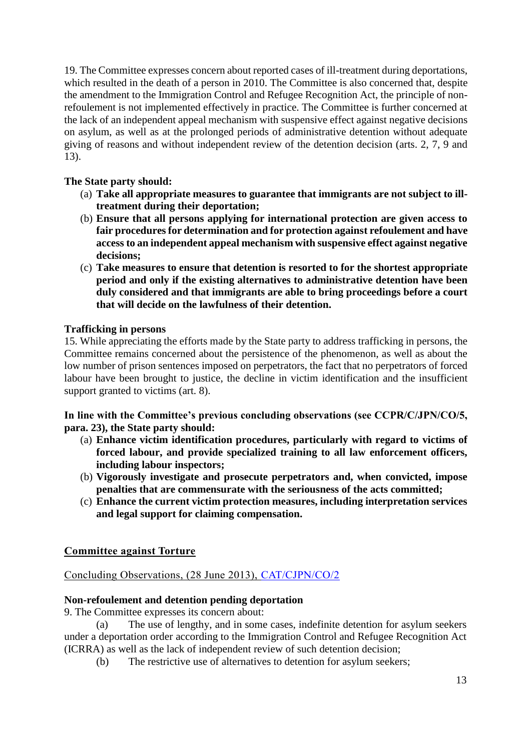19. The Committee expresses concern about reported cases of ill-treatment during deportations, which resulted in the death of a person in 2010. The Committee is also concerned that, despite the amendment to the Immigration Control and Refugee Recognition Act, the principle of nonrefoulement is not implemented effectively in practice. The Committee is further concerned at the lack of an independent appeal mechanism with suspensive effect against negative decisions on asylum, as well as at the prolonged periods of administrative detention without adequate giving of reasons and without independent review of the detention decision (arts. 2, 7, 9 and 13).

# **The State party should:**

- (a) **Take all appropriate measures to guarantee that immigrants are not subject to illtreatment during their deportation;**
- (b) **Ensure that all persons applying for international protection are given access to fair procedures for determination and for protection against refoulement and have access to an independent appeal mechanism with suspensive effect against negative decisions;**
- (c) **Take measures to ensure that detention is resorted to for the shortest appropriate period and only if the existing alternatives to administrative detention have been duly considered and that immigrants are able to bring proceedings before a court that will decide on the lawfulness of their detention.**

# **Trafficking in persons**

15. While appreciating the efforts made by the State party to address trafficking in persons, the Committee remains concerned about the persistence of the phenomenon, as well as about the low number of prison sentences imposed on perpetrators, the fact that no perpetrators of forced labour have been brought to justice, the decline in victim identification and the insufficient support granted to victims (art. 8).

**In line with the Committee's previous concluding observations (see CCPR/C/JPN/CO/5, para. 23), the State party should:**

- (a) **Enhance victim identification procedures, particularly with regard to victims of forced labour, and provide specialized training to all law enforcement officers, including labour inspectors;**
- (b) **Vigorously investigate and prosecute perpetrators and, when convicted, impose penalties that are commensurate with the seriousness of the acts committed;**
- (c) **Enhance the current victim protection measures, including interpretation services and legal support for claiming compensation.**

# **Committee against Torture**

Concluding Observations, (28 June 2013), [CAT/CJPN/CO/2](http://tbinternet.ohchr.org/_layouts/treatybodyexternal/Download.aspx?symbolno=CAT/C/JPN/CO/2&Lang=En)

# **Non-refoulement and detention pending deportation**

9. The Committee expresses its concern about:

(a) The use of lengthy, and in some cases, indefinite detention for asylum seekers under a deportation order according to the Immigration Control and Refugee Recognition Act (ICRRA) as well as the lack of independent review of such detention decision;

(b) The restrictive use of alternatives to detention for asylum seekers;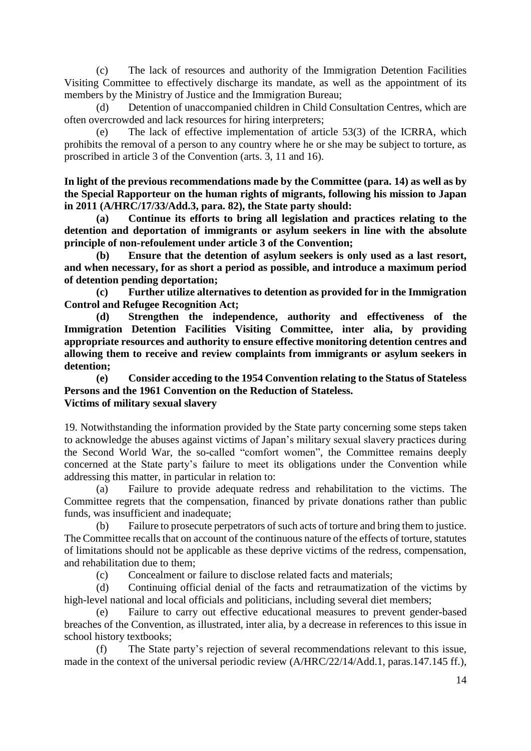(c) The lack of resources and authority of the Immigration Detention Facilities Visiting Committee to effectively discharge its mandate, as well as the appointment of its members by the Ministry of Justice and the Immigration Bureau;

(d) Detention of unaccompanied children in Child Consultation Centres, which are often overcrowded and lack resources for hiring interpreters;

(e) The lack of effective implementation of article 53(3) of the ICRRA, which prohibits the removal of a person to any country where he or she may be subject to torture, as proscribed in article 3 of the Convention (arts. 3, 11 and 16).

**In light of the previous recommendations made by the Committee (para. 14) as well as by the Special Rapporteur on the human rights of migrants, following his mission to Japan in 2011 (A/HRC/17/33/Add.3, para. 82), the State party should:**

**(a) Continue its efforts to bring all legislation and practices relating to the detention and deportation of immigrants or asylum seekers in line with the absolute principle of non-refoulement under article 3 of the Convention;**

**(b) Ensure that the detention of asylum seekers is only used as a last resort, and when necessary, for as short a period as possible, and introduce a maximum period of detention pending deportation;**

**(c) Further utilize alternatives to detention as provided for in the Immigration Control and Refugee Recognition Act;**

**(d) Strengthen the independence, authority and effectiveness of the Immigration Detention Facilities Visiting Committee, inter alia, by providing appropriate resources and authority to ensure effective monitoring detention centres and allowing them to receive and review complaints from immigrants or asylum seekers in detention;**

**(e) Consider acceding to the 1954 Convention relating to the Status of Stateless Persons and the 1961 Convention on the Reduction of Stateless. Victims of military sexual slavery** 

19. Notwithstanding the information provided by the State party concerning some steps taken to acknowledge the abuses against victims of Japan's military sexual slavery practices during the Second World War, the so-called "comfort women", the Committee remains deeply concerned at the State party's failure to meet its obligations under the Convention while addressing this matter, in particular in relation to:

(a) Failure to provide adequate redress and rehabilitation to the victims. The Committee regrets that the compensation, financed by private donations rather than public funds, was insufficient and inadequate;

(b) Failure to prosecute perpetrators of such acts of torture and bring them to justice. The Committee recalls that on account of the continuous nature of the effects of torture, statutes of limitations should not be applicable as these deprive victims of the redress, compensation, and rehabilitation due to them;

(c) Concealment or failure to disclose related facts and materials;

(d) Continuing official denial of the facts and retraumatization of the victims by high-level national and local officials and politicians, including several diet members;

(e) Failure to carry out effective educational measures to prevent gender-based breaches of the Convention, as illustrated, inter alia, by a decrease in references to this issue in school history textbooks;

(f) The State party's rejection of several recommendations relevant to this issue, made in the context of the universal periodic review (A/HRC/22/14/Add.1, paras.147.145 ff.),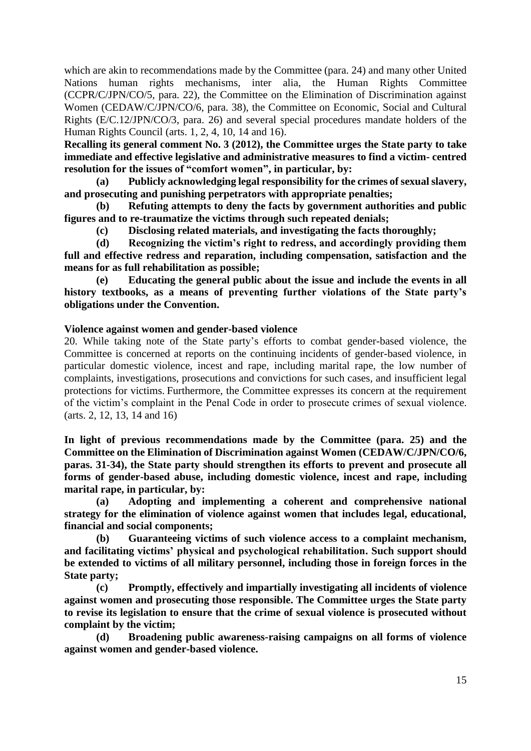which are akin to recommendations made by the Committee (para. 24) and many other United Nations human rights mechanisms, inter alia, the Human Rights Committee (CCPR/C/JPN/CO/5, para. 22), the [Committee on the Elimination of Discrimination against](http://www2.ohchr.org/english/bodies/cedaw/index.htm)  [Women](http://www2.ohchr.org/english/bodies/cedaw/index.htm) (CEDAW/C/JPN/CO/6, para. 38), the [Committee on Economic, Social and Cultural](http://www2.ohchr.org/english/bodies/cescr/index.htm)  [Rights](http://www2.ohchr.org/english/bodies/cescr/index.htm) (E/C.12/JPN/CO/3, para. 26) and several special procedures mandate holders of the Human Rights Council (arts. 1, 2, 4, 10, 14 and 16).

**Recalling its general comment No. 3 (2012), the Committee urges the State party to take immediate and effective legislative and administrative measures to find a victim- centred resolution for the issues of "comfort women", in particular, by:**

**(a) Publicly acknowledging legal responsibility for the crimes of sexual slavery, and prosecuting and punishing perpetrators with appropriate penalties;**

**(b) Refuting attempts to deny the facts by government authorities and public figures and to re-traumatize the victims through such repeated denials;** 

**(c) Disclosing related materials, and investigating the facts thoroughly;**

**(d) Recognizing the victim's right to redress, and accordingly providing them full and effective redress and reparation, including compensation, satisfaction and the means for as full rehabilitation as possible;**

**(e) Educating the general public about the issue and include the events in all history textbooks, as a means of preventing further violations of the State party's obligations under the Convention.**

#### **Violence against women and gender-based violence**

20. While taking note of the State party's efforts to combat gender-based violence, the Committee is concerned at reports on the continuing incidents of gender-based violence, in particular domestic violence, incest and rape, including marital rape, the low number of complaints, investigations, prosecutions and convictions for such cases, and insufficient legal protections for victims. Furthermore, the Committee expresses its concern at the requirement of the victim's complaint in the Penal Code in order to prosecute crimes of sexual violence. (arts. 2, 12, 13, 14 and 16)

**In light of previous recommendations made by the Committee (para. 25) and the [Committee on the Elimination of Discrimination against Women](http://www2.ohchr.org/english/bodies/cedaw/index.htm) (CEDAW/C/JPN/CO/6, paras. 31-34), the State party should strengthen its efforts to prevent and prosecute all forms of gender-based abuse, including domestic violence, incest and rape, including marital rape, in particular, by:**

**(a) Adopting and implementing a coherent and comprehensive national strategy for the elimination of violence against women that includes legal, educational, financial and social components;**

**(b) Guaranteeing victims of such violence access to a complaint mechanism, and facilitating victims' physical and psychological rehabilitation. Such support should be extended to victims of all military personnel, including those in foreign forces in the State party;**

**(c) Promptly, effectively and impartially investigating all incidents of violence against women and prosecuting those responsible. The Committee urges the State party to revise its legislation to ensure that the crime of sexual violence is prosecuted without complaint by the victim;** 

**(d) Broadening public awareness-raising campaigns on all forms of violence against women and gender-based violence.**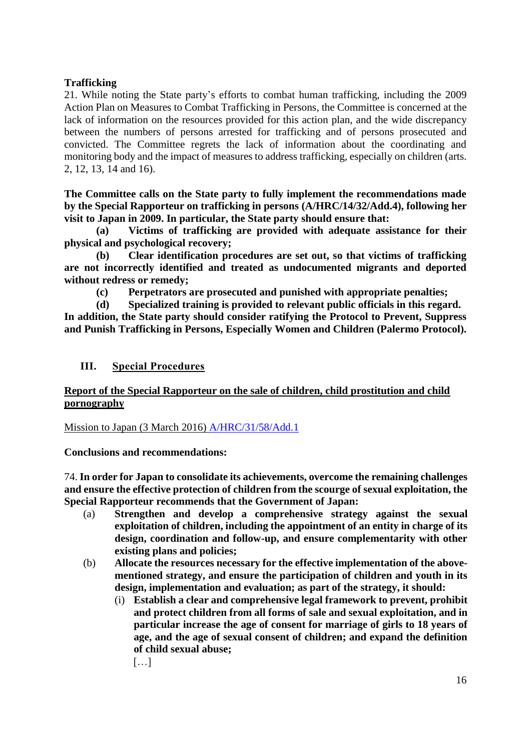# **Trafficking**

21. While noting the State party's efforts to combat human trafficking, including the 2009 Action Plan on Measures to Combat Trafficking in Persons, the Committee is concerned at the lack of information on the resources provided for this action plan, and the [wide discrepancy](http://endic.naver.com/enkrIdiom.nhn?idiomId=f96664f62f9948f0a070fe0b6536b146&query=%EC%BB%A4%EB%8B%A4%EB%9E%80+%EC%B0%A8%EC%9D%B4) between the numbers of persons arrested for trafficking and of persons prosecuted and convicted. The Committee regrets the lack of information about the coordinating and monitoring body and the impact of measures to address trafficking, especially on children (arts. 2, 12, 13, 14 and 16).

**The Committee calls on the State party to fully implement the recommendations made by the Special Rapporteur on trafficking in persons (A/HRC/14/32/Add.4), following her visit to Japan in 2009. In particular, the State party should ensure that:**

**(a) Victims of trafficking are provided with adequate assistance for their physical and psychological recovery;**

**(b) Clear identification procedures are set out, so that victims of trafficking are not incorrectly identified and treated as undocumented migrants and deported without redress or remedy;**

**(c) Perpetrators are prosecuted and punished with appropriate penalties;**

**(d) Specialized training is provided to relevant public officials in this regard. In addition, the State party should consider ratifying the Protocol to Prevent, Suppress and Punish Trafficking in Persons, Especially Women and Children (Palermo Protocol).**

# **III. Special Procedures**

# **Report of the Special Rapporteur on the sale of children, child prostitution and child pornography**

Mission to Japan (3 March 2016) [A/HRC/31/58/Add.1](http://www.ohchr.org/EN/HRBodies/HRC/RegularSessions/Session31/Documents/A_HRC_31_58_Add_1_en.doc)

**Conclusions and recommendations:**

74. **In order for Japan to consolidate its achievements, overcome the remaining challenges and ensure the effective protection of children from the scourge of sexual exploitation, the Special Rapporteur recommends that the Government of Japan:**

- (a) **Strengthen and develop a comprehensive strategy against the sexual exploitation of children, including the appointment of an entity in charge of its design, coordination and follow-up, and ensure complementarity with other existing plans and policies;**
- (b) **Allocate the resources necessary for the effective implementation of the abovementioned strategy, and ensure the participation of children and youth in its design, implementation and evaluation; as part of the strategy, it should:**
	- (i) **Establish a clear and comprehensive legal framework to prevent, prohibit and protect children from all forms of sale and sexual exploitation, and in particular increase the age of consent for marriage of girls to 18 years of age, and the age of sexual consent of children; and expand the definition of child sexual abuse;**
		- […]